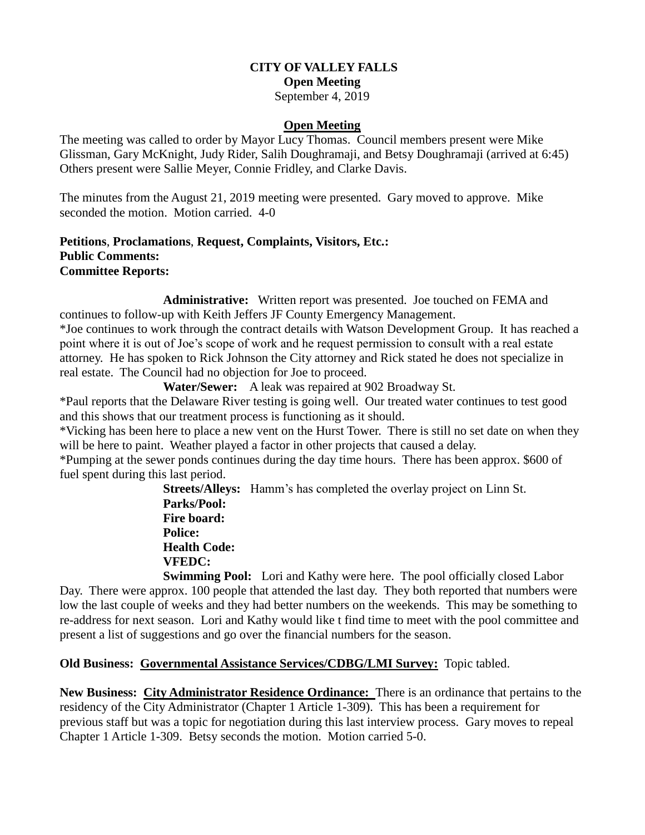### **CITY OF VALLEY FALLS Open Meeting**

September 4, 2019

## **Open Meeting**

The meeting was called to order by Mayor Lucy Thomas. Council members present were Mike Glissman, Gary McKnight, Judy Rider, Salih Doughramaji, and Betsy Doughramaji (arrived at 6:45) Others present were Sallie Meyer, Connie Fridley, and Clarke Davis.

The minutes from the August 21, 2019 meeting were presented. Gary moved to approve. Mike seconded the motion. Motion carried. 4-0

### **Petitions**, **Proclamations**, **Request, Complaints, Visitors, Etc.: Public Comments: Committee Reports:**

**Administrative:** Written report was presented. Joe touched on FEMA and continues to follow-up with Keith Jeffers JF County Emergency Management.

\*Joe continues to work through the contract details with Watson Development Group. It has reached a point where it is out of Joe's scope of work and he request permission to consult with a real estate attorney. He has spoken to Rick Johnson the City attorney and Rick stated he does not specialize in real estate. The Council had no objection for Joe to proceed.

**Water/Sewer:** A leak was repaired at 902 Broadway St.

\*Paul reports that the Delaware River testing is going well. Our treated water continues to test good and this shows that our treatment process is functioning as it should.

\*Vicking has been here to place a new vent on the Hurst Tower. There is still no set date on when they will be here to paint. Weather played a factor in other projects that caused a delay.

\*Pumping at the sewer ponds continues during the day time hours. There has been approx. \$600 of fuel spent during this last period.

> **Streets/Alleys:** Hamm's has completed the overlay project on Linn St. **Parks/Pool: Fire board: Police: Health Code: VFEDC: Swimming Pool:** Lori and Kathy were here. The pool officially closed Labor

Day. There were approx. 100 people that attended the last day. They both reported that numbers were low the last couple of weeks and they had better numbers on the weekends. This may be something to re-address for next season. Lori and Kathy would like t find time to meet with the pool committee and present a list of suggestions and go over the financial numbers for the season.

# **Old Business: Governmental Assistance Services/CDBG/LMI Survey:** Topic tabled.

**New Business: City Administrator Residence Ordinance:** There is an ordinance that pertains to the residency of the City Administrator (Chapter 1 Article 1-309). This has been a requirement for previous staff but was a topic for negotiation during this last interview process. Gary moves to repeal Chapter 1 Article 1-309. Betsy seconds the motion. Motion carried 5-0.